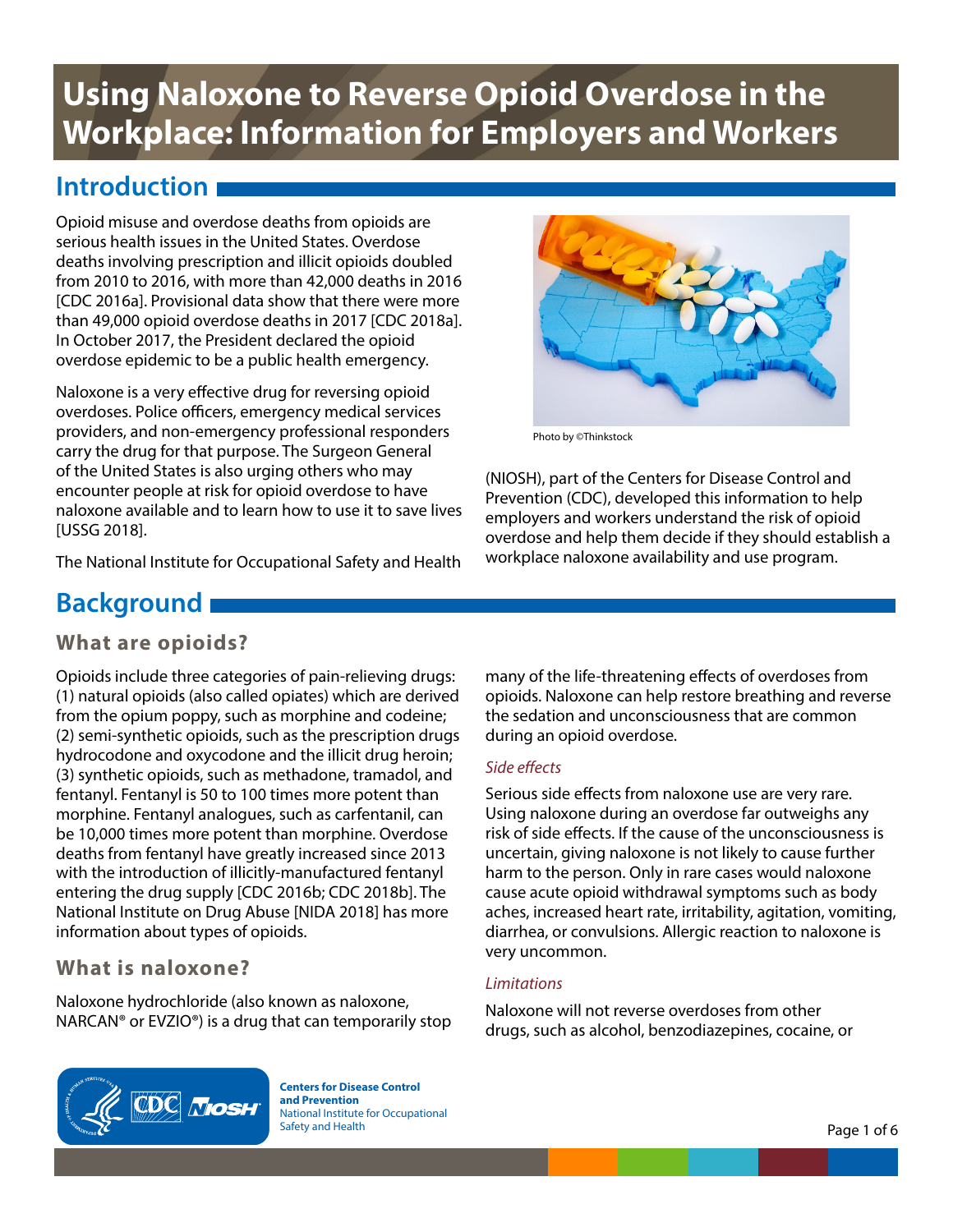# **Using Naloxone to Reverse Opioid Overdose in the Workplace: Information for Employers and Workers**

## **Introduction**

Opioid misuse and overdose deaths from opioids are serious health issues in the United States. Overdose deaths involving prescription and illicit opioids doubled from 2010 to 2016, with more than 42,000 deaths in 2016 [CDC 2016a]. Provisional data show that there were more than 49,000 opioid overdose deaths in 2017 [CDC 2018a]. In October 2017, the President declared the opioid overdose epidemic to be a public health emergency.

Naloxone is a very effective drug for reversing opioid overdoses. Police officers, emergency medical services providers, and non-emergency professional responders carry the drug for that purpose. The Surgeon General of the United States is also urging others who may encounter people at risk for opioid overdose to have naloxone available and to learn how to use it to save lives [USSG 2018].

The National Institute for Occupational Safety and Health



Photo by ©Thinkstock

(NIOSH), part of the Centers for Disease Control and Prevention (CDC), developed this information to help employers and workers understand the risk of opioid overdose and help them decide if they should establish a workplace naloxone availability and use program.

## **Background**

### **What are opioids?**

Opioids include three categories of pain-relieving drugs: (1) natural opioids (also called opiates) which are derived from the opium poppy, such as morphine and codeine; (2) semi-synthetic opioids, such as the prescription drugs hydrocodone and oxycodone and the illicit drug heroin; (3) synthetic opioids, such as methadone, tramadol, and fentanyl. Fentanyl is 50 to 100 times more potent than morphine. Fentanyl analogues, such as carfentanil, can be 10,000 times more potent than morphine. Overdose deaths from fentanyl have greatly increased since 2013 with the introduction of illicitly-manufactured fentanyl entering the drug supply [CDC 2016b; CDC 2018b]. The National Institute on Drug Abuse [NIDA 2018] has more information about types of opioids.

## **What is naloxone?**

Naloxone hydrochloride (also known as naloxone, NARCAN® or EVZIO®) is a drug that can temporarily stop many of the life-threatening effects of overdoses from opioids. Naloxone can help restore breathing and reverse the sedation and unconsciousness that are common during an opioid overdose.

#### *Side effects*

Serious side effects from naloxone use are very rare. Using naloxone during an overdose far outweighs any risk of side effects. If the cause of the unconsciousness is uncertain, giving naloxone is not likely to cause further harm to the person. Only in rare cases would naloxone cause acute opioid withdrawal symptoms such as body aches, increased heart rate, irritability, agitation, vomiting, diarrhea, or convulsions. Allergic reaction to naloxone is very uncommon.

#### *Limitations*

Naloxone will not reverse overdoses from other drugs, such as alcohol, benzodiazepines, cocaine, or



**Centers for Disease Control and Prevention** National Institute for Occupational<br>Safety and Health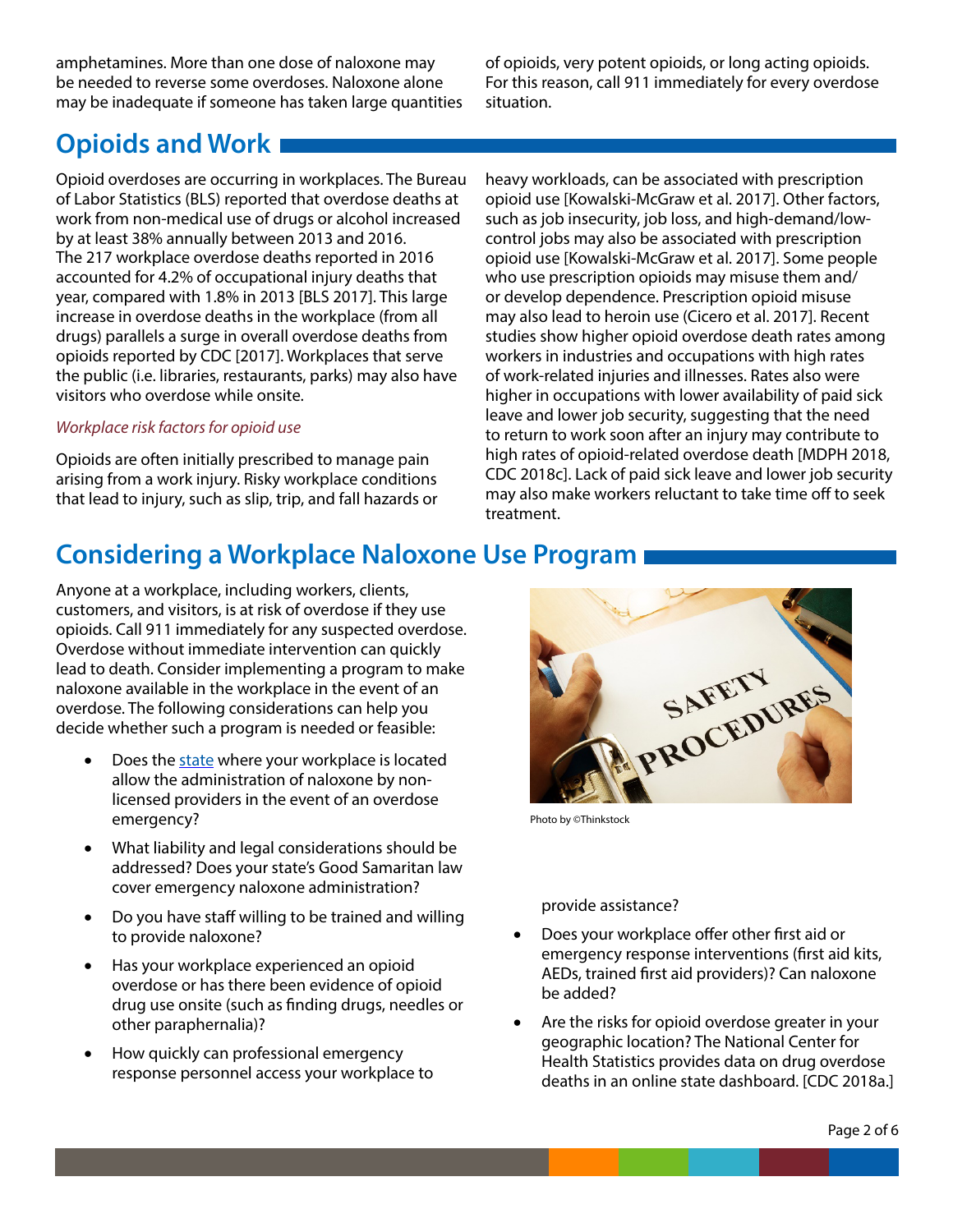amphetamines. More than one dose of naloxone may be needed to reverse some overdoses. Naloxone alone may be inadequate if someone has taken large quantities of opioids, very potent opioids, or long acting opioids. For this reason, call 911 immediately for every overdose situation.

## **Opioids and Work**

Opioid overdoses are occurring in workplaces. The Bureau of Labor Statistics (BLS) reported that overdose deaths at work from non-medical use of drugs or alcohol increased by at least 38% annually between 2013 and 2016. The 217 workplace overdose deaths reported in 2016 accounted for 4.2% of occupational injury deaths that year, compared with 1.8% in 2013 [BLS 2017]. This large increase in overdose deaths in the workplace (from all drugs) parallels a surge in overall overdose deaths from opioids reported by CDC [2017]. Workplaces that serve the public (i.e. libraries, restaurants, parks) may also have visitors who overdose while onsite.

#### *Workplace risk factors for opioid use*

Opioids are often initially prescribed to manage pain arising from a work injury. Risky workplace conditions that lead to injury, such as slip, trip, and fall hazards or heavy workloads, can be associated with prescription opioid use [Kowalski-McGraw et al. 2017]. Other factors, such as job insecurity, job loss, and high-demand/lowcontrol jobs may also be associated with prescription opioid use [Kowalski-McGraw et al. 2017]. Some people who use prescription opioids may misuse them and/ or develop dependence. Prescription opioid misuse may also lead to heroin use (Cicero et al. 2017]. Recent studies show higher opioid overdose death rates among workers in industries and occupations with high rates of work-related injuries and illnesses. Rates also were higher in occupations with lower availability of paid sick leave and lower job security, suggesting that the need to return to work soon after an injury may contribute to high rates of opioid-related overdose death [MDPH 2018, CDC 2018c]. Lack of paid sick leave and lower job security may also make workers reluctant to take time off to seek treatment.

## **Considering a Workplace Naloxone Use Program**

Anyone at a workplace, including workers, clients, customers, and visitors, is at risk of overdose if they use opioids. Call 911 immediately for any suspected overdose. Overdose without immediate intervention can quickly lead to death. Consider implementing a program to make naloxone available in the workplace in the event of an overdose. The following considerations can help you decide whether such a program is needed or feasible:

- Does the [state](https://www.drugabuse.gov/publications/medications-to-treat-opioid-addiction/naloxone-accessible) where your workplace is located allow the administration of naloxone by nonlicensed providers in the event of an overdose emergency?
- What liability and legal considerations should be addressed? Does your state's Good Samaritan law cover emergency naloxone administration?
- Do you have staff willing to be trained and willing to provide naloxone?
- Has your workplace experienced an opioid overdose or has there been evidence of opioid drug use onsite (such as finding drugs, needles or other paraphernalia)?
- How quickly can professional emergency response personnel access your workplace to



Photo by ©Thinkstock

#### provide assistance?

- Does your workplace offer other first aid or emergency response interventions (first aid kits, AEDs, trained first aid providers)? Can naloxone be added?
- Are the risks for opioid overdose greater in your geographic location? The National Center for Health Statistics provides data on drug overdose deaths in an online state dashboard. [CDC 2018a.]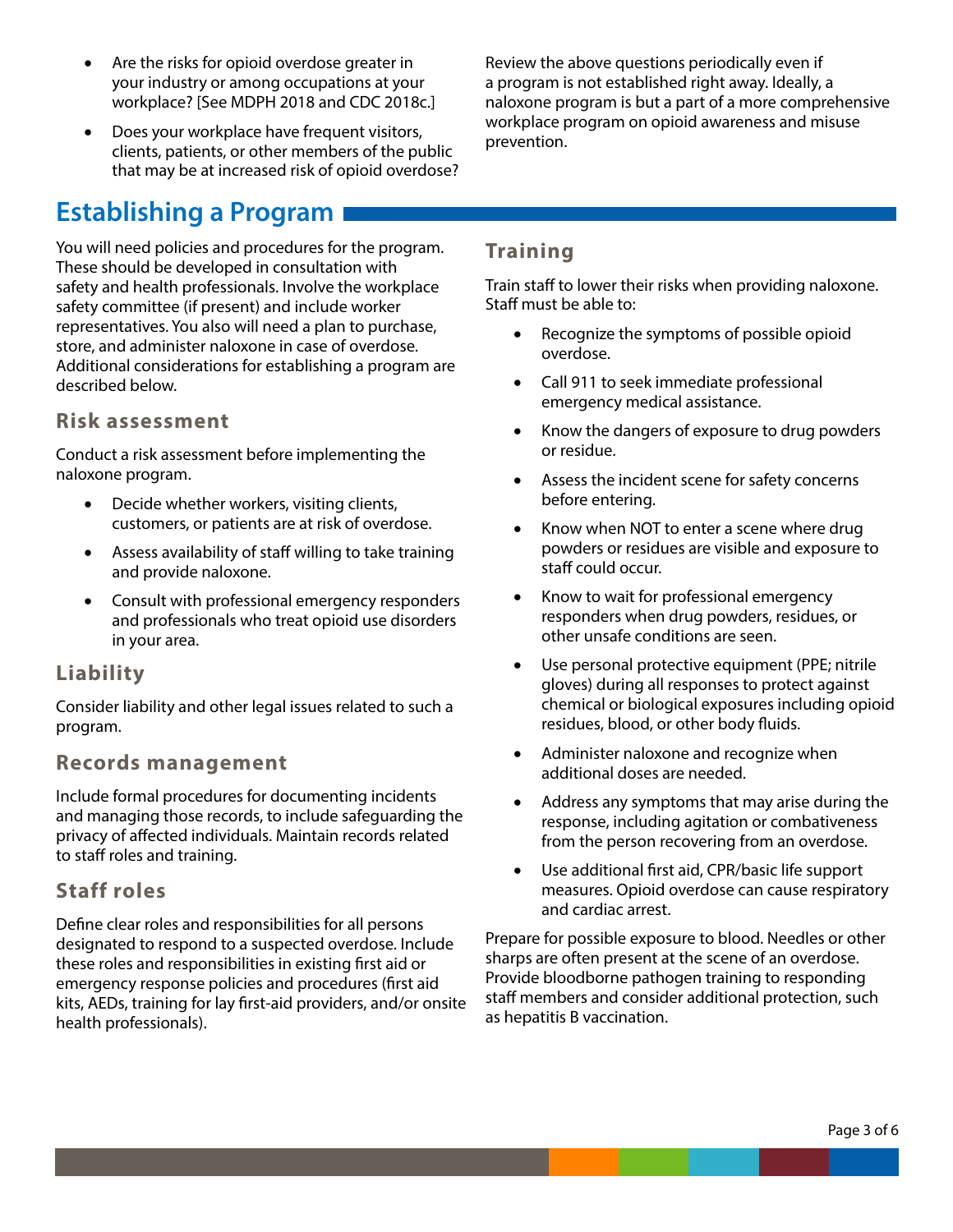- Are the risks for opioid overdose greater in your industry or among occupations at your workplace? [See MDPH 2018 and CDC 2018c.]
- Does your workplace have frequent visitors, clients, patients, or other members of the public that may be at increased risk of opioid overdose?

## **Establishing a Program**

You will need policies and procedures for the program. These should be developed in consultation with safety and health professionals. Involve the workplace safety committee (if present) and include worker representatives. You also will need a plan to purchase, store, and administer naloxone in case of overdose. Additional considerations for establishing a program are described below.

#### **Risk assessment**

Conduct a risk assessment before implementing the naloxone program.

- Decide whether workers, visiting clients, customers, or patients are at risk of overdose.
- Assess availability of staff willing to take training and provide naloxone.
- Consult with professional emergency responders and professionals who treat opioid use disorders in your area.

### **Liability**

Consider liability and other legal issues related to such a program.

### **Records management**

Include formal procedures for documenting incidents and managing those records, to include safeguarding the privacy of affected individuals. Maintain records related to staff roles and training.

### **Staff roles**

Define clear roles and responsibilities for all persons designated to respond to a suspected overdose. Include these roles and responsibilities in existing first aid or emergency response policies and procedures (first aid kits, AEDs, training for lay first-aid providers, and/or onsite health professionals).

Review the above questions periodically even if a program is not established right away. Ideally, a naloxone program is but a part of a more comprehensive workplace program on opioid awareness and misuse prevention.

### **Training**

Train staff to lower their risks when providing naloxone. Staff must be able to:

- • Recognize the symptoms of possible opioid overdose.
- • Call 911 to seek immediate professional emergency medical assistance.
- Know the dangers of exposure to drug powders or residue.
- Assess the incident scene for safety concerns before entering.
- Know when NOT to enter a scene where drug powders or residues are visible and exposure to staff could occur.
- Know to wait for professional emergency responders when drug powders, residues, or other unsafe conditions are seen.
- • Use personal protective equipment (PPE; nitrile gloves) during all responses to protect against chemical or biological exposures including opioid residues, blood, or other body fluids.
- • Administer naloxone and recognize when additional doses are needed.
- Address any symptoms that may arise during the response, including agitation or combativeness from the person recovering from an overdose.
- • Use additional first aid, CPR/basic life support measures. Opioid overdose can cause respiratory and cardiac arrest.

Prepare for possible exposure to blood. Needles or other sharps are often present at the scene of an overdose. Provide bloodborne pathogen training to responding staff members and consider additional protection, such as hepatitis B vaccination.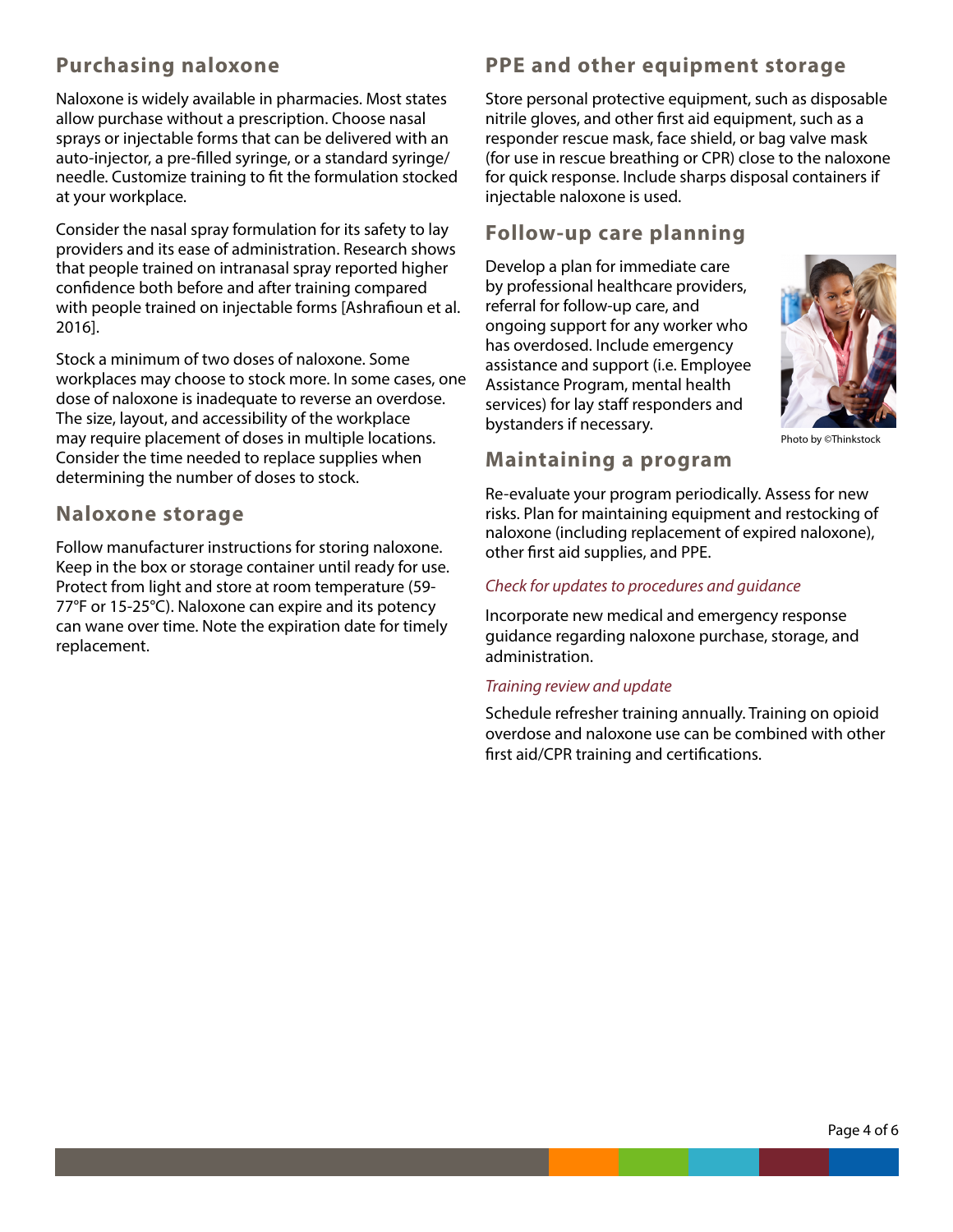## **Purchasing naloxone**

Naloxone is widely available in pharmacies. Most states allow purchase without a prescription. Choose nasal sprays or injectable forms that can be delivered with an auto-injector, a pre-filled syringe, or a standard syringe/ needle. Customize training to fit the formulation stocked at your workplace.

Consider the nasal spray formulation for its safety to lay providers and its ease of administration. Research shows that people trained on intranasal spray reported higher confidence both before and after training compared with people trained on injectable forms [Ashrafioun et al. 2016].

Stock a minimum of two doses of naloxone. Some workplaces may choose to stock more. In some cases, one dose of naloxone is inadequate to reverse an overdose. The size, layout, and accessibility of the workplace may require placement of doses in multiple locations. Consider the time needed to replace supplies when determining the number of doses to stock.

#### **Naloxone storage**

Follow manufacturer instructions for storing naloxone. Keep in the box or storage container until ready for use. Protect from light and store at room temperature (59- 77°F or 15-25°C). Naloxone can expire and its potency can wane over time. Note the expiration date for timely replacement.

### **PPE and other equipment storage**

Store personal protective equipment, such as disposable nitrile gloves, and other first aid equipment, such as a responder rescue mask, face shield, or bag valve mask (for use in rescue breathing or CPR) close to the naloxone for quick response. Include sharps disposal containers if injectable naloxone is used.

#### **Follow-up care planning**

Develop a plan for immediate care by professional healthcare providers, referral for follow-up care, and ongoing support for any worker who has overdosed. Include emergency assistance and support (i.e. Employee Assistance Program, mental health services) for lay staff responders and bystanders if necessary.



Photo by ©Thinkstock

#### **Maintaining a program**

Re-evaluate your program periodically. Assess for new risks. Plan for maintaining equipment and restocking of naloxone (including replacement of expired naloxone), other first aid supplies, and PPE.

#### *Check for updates to procedures and guidance*

Incorporate new medical and emergency response guidance regarding naloxone purchase, storage, and administration.

#### *Training review and update*

Schedule refresher training annually. Training on opioid overdose and naloxone use can be combined with other first aid/CPR training and certifications.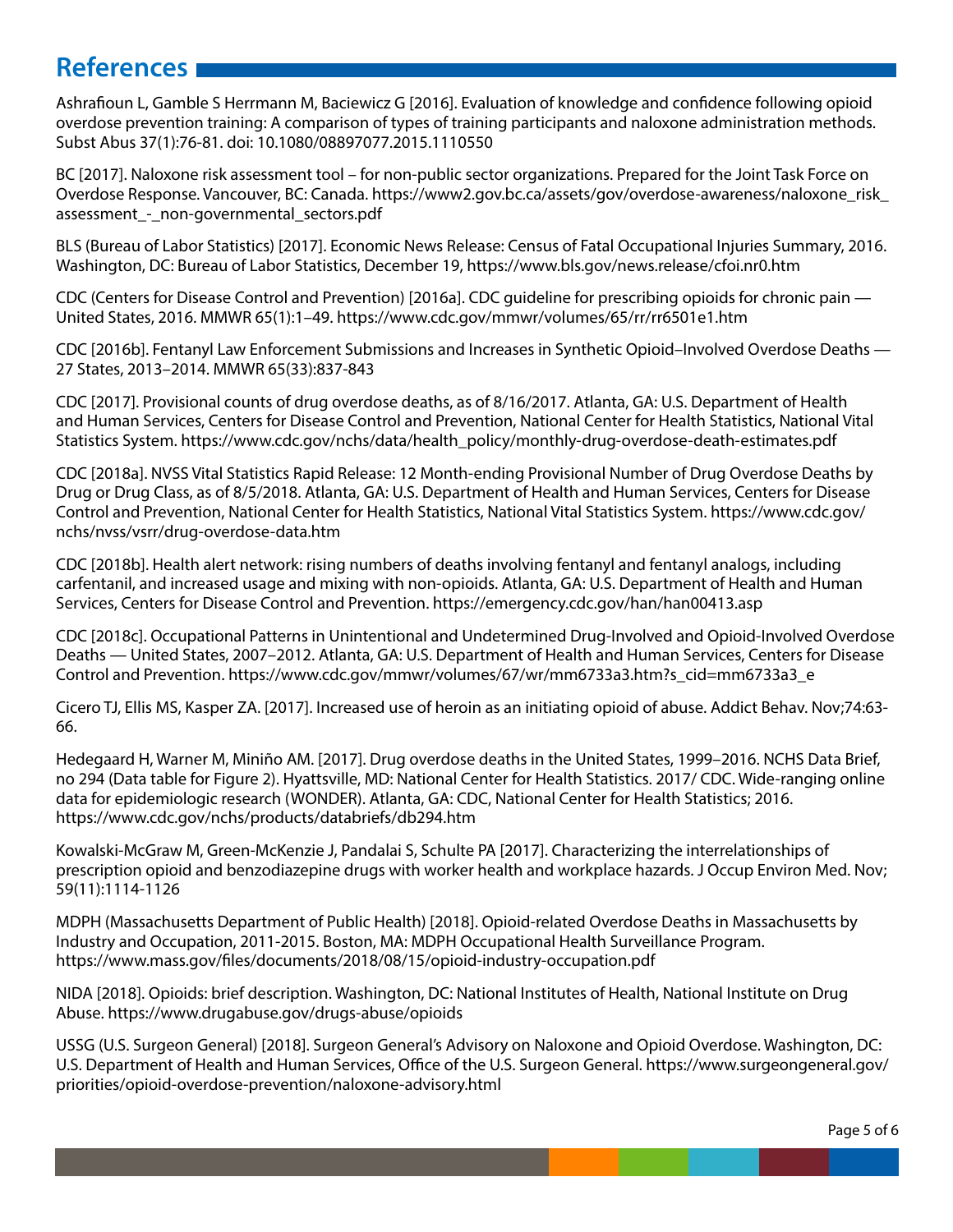## **References**

Ashrafioun L, Gamble S Herrmann M, Baciewicz G [2016]. Evaluation of knowledge and confidence following opioid overdose prevention training: A comparison of types of training participants and naloxone administration methods. Subst Abus 37(1):76-81. doi: 10.1080/08897077.2015.1110550

BC [2017]. Naloxone risk assessment tool – for non-public sector organizations. Prepared for the Joint Task Force on Overdose Response. Vancouver, BC: Canada. [https://www2.gov.bc.ca/assets/gov/overdose-awareness/naloxone\\_risk\\_](https://www2.gov.bc.ca/assets/gov/overdose-awareness/naloxone_risk_assessment_-_non-governmental_sectors.pdf) [assessment\\_-\\_non-governmental\\_sectors.pdf](https://www2.gov.bc.ca/assets/gov/overdose-awareness/naloxone_risk_assessment_-_non-governmental_sectors.pdf)

BLS (Bureau of Labor Statistics) [2017]. Economic News Release: Census of Fatal Occupational Injuries Summary, 2016. Washington, DC: Bureau of Labor Statistics, December 19, [https://www.bls.gov/news.release/cfoi.nr0.htm](https://www.bls.gov/news.release/cfoi.nr0.htm
)

CDC (Centers for Disease Control and Prevention) [2016a]. CDC guideline for prescribing opioids for chronic pain — United States, 2016. MMWR 65(1):1–49. <https://www.cdc.gov/mmwr/volumes/65/rr/rr6501e1.htm>

CDC [2016b]. Fentanyl Law Enforcement Submissions and Increases in Synthetic Opioid–Involved Overdose Deaths — 27 States, 2013–2014. MMWR 65(33):837-843

CDC [2017]. Provisional counts of drug overdose deaths, as of 8/16/2017. Atlanta, GA: U.S. Department of Health and Human Services, Centers for Disease Control and Prevention, National Center for Health Statistics, National Vital Statistics System. [https://www.cdc.gov/nchs/data/health\\_policy/monthly-drug-overdose-death-estimates.pdf](https://www.cdc.gov/nchs/data/health_policy/monthly-drug-overdose-death-estimates.pdf) 

CDC [2018a]. NVSS Vital Statistics Rapid Release: 12 Month-ending Provisional Number of Drug Overdose Deaths by Drug or Drug Class, as of 8/5/2018. Atlanta, GA: U.S. Department of Health and Human Services, Centers for Disease Control and Prevention, National Center for Health Statistics, National Vital Statistics System. [https://www.cdc.gov/](https://www.cdc.gov/nchs/nvss/vsrr/drug-overdose-data.htm) [nchs/nvss/vsrr/drug-overdose-data.htm](https://www.cdc.gov/nchs/nvss/vsrr/drug-overdose-data.htm)

CDC [2018b]. Health alert network: rising numbers of deaths involving fentanyl and fentanyl analogs, including carfentanil, and increased usage and mixing with non-opioids. Atlanta, GA: U.S. Department of Health and Human Services, Centers for Disease Control and Prevention.<https://emergency.cdc.gov/han/han00413.asp>

CDC [2018c]. Occupational Patterns in Unintentional and Undetermined Drug-Involved and Opioid-Involved Overdose Deaths — United States, 2007–2012. Atlanta, GA: U.S. Department of Health and Human Services, Centers for Disease Control and Prevention. [https://www.cdc.gov/mmwr/volumes/67/wr/mm6733a3.htm?s\\_cid=mm6733a3\\_e](https://www.cdc.gov/mmwr/volumes/67/wr/mm6733a3.htm?s_cid=mm6733a3_e) 

Cicero TJ, Ellis MS, Kasper ZA. [2017]. Increased use of heroin as an initiating opioid of abuse. Addict Behav. Nov;74:63- 66.

Hedegaard H, Warner M, Miniño AM. [2017]. Drug overdose deaths in the United States, 1999–2016. NCHS Data Brief, no 294 (Data table for Figure 2). Hyattsville, MD: National Center for Health Statistics. 2017/ CDC. Wide-ranging online data for epidemiologic research (WONDER). Atlanta, GA: CDC, National Center for Health Statistics; 2016. <https://www.cdc.gov/nchs/products/databriefs/db294.htm>

Kowalski-McGraw M, Green-McKenzie J, Pandalai S, Schulte PA [2017]. Characterizing the interrelationships of prescription opioid and benzodiazepine drugs with worker health and workplace hazards. J Occup Environ Med. Nov; 59(11):1114-1126

MDPH (Massachusetts Department of Public Health) [2018]. Opioid-related Overdose Deaths in Massachusetts by Industry and Occupation, 2011-2015. Boston, MA: MDPH Occupational Health Surveillance Program. <https://www.mass.gov/files/documents/2018/08/15/opioid-industry-occupation.pdf>

NIDA [2018]. Opioids: brief description. Washington, DC: National Institutes of Health, National Institute on Drug Abuse.<https://www.drugabuse.gov/drugs-abuse/opioids>

USSG (U.S. Surgeon General) [2018]. Surgeon General's Advisory on Naloxone and Opioid Overdose. Washington, DC: U.S. Department of Health and Human Services, Office of the U.S. Surgeon General. [https://www.surgeongeneral.gov/](https://www.surgeongeneral.gov/priorities/opioid-overdose-prevention/naloxone-advisory.html
) [priorities/opioid-overdose-prevention/naloxone-advisory.html](https://www.surgeongeneral.gov/priorities/opioid-overdose-prevention/naloxone-advisory.html
)